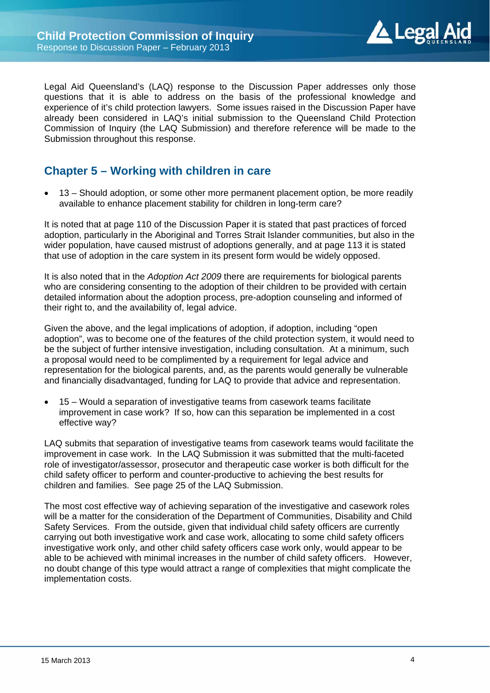

Legal Aid Queensland's (LAQ) response to the Discussion Paper addresses only those questions that it is able to address on the basis of the professional knowledge and experience of it's child protection lawyers. Some issues raised in the Discussion Paper have already been considered in LAQ's initial submission to the Queensland Child Protection Commission of Inquiry (the LAQ Submission) and therefore reference will be made to the Submission throughout this response.

## **Chapter 5 – Working with children in care**

 13 – Should adoption, or some other more permanent placement option, be more readily available to enhance placement stability for children in long-term care?

It is noted that at page 110 of the Discussion Paper it is stated that past practices of forced adoption, particularly in the Aboriginal and Torres Strait Islander communities, but also in the wider population, have caused mistrust of adoptions generally, and at page 113 it is stated that use of adoption in the care system in its present form would be widely opposed.

It is also noted that in the *Adoption Act 2009* there are requirements for biological parents who are considering consenting to the adoption of their children to be provided with certain detailed information about the adoption process, pre-adoption counseling and informed of their right to, and the availability of, legal advice.

Given the above, and the legal implications of adoption, if adoption, including "open adoption", was to become one of the features of the child protection system, it would need to be the subject of further intensive investigation, including consultation. At a minimum, such a proposal would need to be complimented by a requirement for legal advice and representation for the biological parents, and, as the parents would generally be vulnerable and financially disadvantaged, funding for LAQ to provide that advice and representation.

 15 – Would a separation of investigative teams from casework teams facilitate improvement in case work? If so, how can this separation be implemented in a cost effective way?

LAQ submits that separation of investigative teams from casework teams would facilitate the improvement in case work. In the LAQ Submission it was submitted that the multi-faceted role of investigator/assessor, prosecutor and therapeutic case worker is both difficult for the child safety officer to perform and counter-productive to achieving the best results for children and families. See page 25 of the LAQ Submission.

The most cost effective way of achieving separation of the investigative and casework roles will be a matter for the consideration of the Department of Communities, Disability and Child Safety Services. From the outside, given that individual child safety officers are currently carrying out both investigative work and case work, allocating to some child safety officers investigative work only, and other child safety officers case work only, would appear to be able to be achieved with minimal increases in the number of child safety officers. However, no doubt change of this type would attract a range of complexities that might complicate the implementation costs.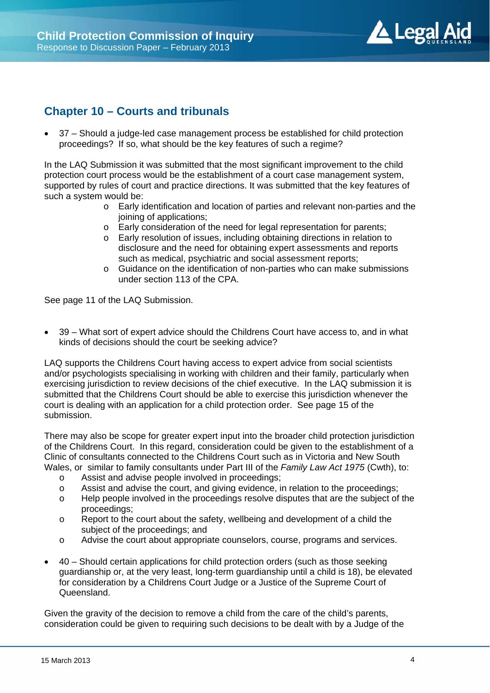

## **Chapter 10 – Courts and tribunals**

 37 – Should a judge-led case management process be established for child protection proceedings? If so, what should be the key features of such a regime?

In the LAQ Submission it was submitted that the most significant improvement to the child protection court process would be the establishment of a court case management system, supported by rules of court and practice directions. It was submitted that the key features of such a system would be:

- o Early identification and location of parties and relevant non-parties and the joining of applications;
- o Early consideration of the need for legal representation for parents;
- o Early resolution of issues, including obtaining directions in relation to disclosure and the need for obtaining expert assessments and reports such as medical, psychiatric and social assessment reports;
- o Guidance on the identification of non-parties who can make submissions under section 113 of the CPA.

See page 11 of the LAQ Submission.

 39 – What sort of expert advice should the Childrens Court have access to, and in what kinds of decisions should the court be seeking advice?

LAQ supports the Childrens Court having access to expert advice from social scientists and/or psychologists specialising in working with children and their family, particularly when exercising jurisdiction to review decisions of the chief executive. In the LAQ submission it is submitted that the Childrens Court should be able to exercise this jurisdiction whenever the court is dealing with an application for a child protection order. See page 15 of the submission.

There may also be scope for greater expert input into the broader child protection jurisdiction of the Childrens Court. In this regard, consideration could be given to the establishment of a Clinic of consultants connected to the Childrens Court such as in Victoria and New South Wales, or similar to family consultants under Part III of the *Family Law Act 1975* (Cwth), to:

- o Assist and advise people involved in proceedings;
- o Assist and advise the court, and giving evidence, in relation to the proceedings;
- o Help people involved in the proceedings resolve disputes that are the subject of the proceedings;
- o Report to the court about the safety, wellbeing and development of a child the subject of the proceedings; and
- o Advise the court about appropriate counselors, course, programs and services.
- 40 Should certain applications for child protection orders (such as those seeking guardianship or, at the very least, long-term guardianship until a child is 18), be elevated for consideration by a Childrens Court Judge or a Justice of the Supreme Court of Queensland.

Given the gravity of the decision to remove a child from the care of the child's parents, consideration could be given to requiring such decisions to be dealt with by a Judge of the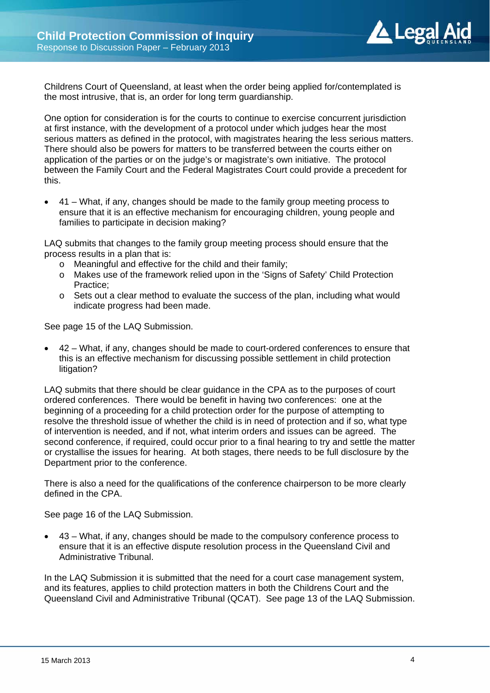

Childrens Court of Queensland, at least when the order being applied for/contemplated is the most intrusive, that is, an order for long term guardianship.

One option for consideration is for the courts to continue to exercise concurrent jurisdiction at first instance, with the development of a protocol under which judges hear the most serious matters as defined in the protocol, with magistrates hearing the less serious matters. There should also be powers for matters to be transferred between the courts either on application of the parties or on the judge's or magistrate's own initiative. The protocol between the Family Court and the Federal Magistrates Court could provide a precedent for this.

 41 – What, if any, changes should be made to the family group meeting process to ensure that it is an effective mechanism for encouraging children, young people and families to participate in decision making?

LAQ submits that changes to the family group meeting process should ensure that the process results in a plan that is:

- o Meaningful and effective for the child and their family;
- o Makes use of the framework relied upon in the 'Signs of Safety' Child Protection Practice;
- $\circ$  Sets out a clear method to evaluate the success of the plan, including what would indicate progress had been made.

See page 15 of the LAQ Submission.

 42 – What, if any, changes should be made to court-ordered conferences to ensure that this is an effective mechanism for discussing possible settlement in child protection litigation?

LAQ submits that there should be clear guidance in the CPA as to the purposes of court ordered conferences. There would be benefit in having two conferences: one at the beginning of a proceeding for a child protection order for the purpose of attempting to resolve the threshold issue of whether the child is in need of protection and if so, what type of intervention is needed, and if not, what interim orders and issues can be agreed. The second conference, if required, could occur prior to a final hearing to try and settle the matter or crystallise the issues for hearing. At both stages, there needs to be full disclosure by the Department prior to the conference.

There is also a need for the qualifications of the conference chairperson to be more clearly defined in the CPA.

See page 16 of the LAQ Submission.

 43 – What, if any, changes should be made to the compulsory conference process to ensure that it is an effective dispute resolution process in the Queensland Civil and Administrative Tribunal.

In the LAQ Submission it is submitted that the need for a court case management system, and its features, applies to child protection matters in both the Childrens Court and the Queensland Civil and Administrative Tribunal (QCAT). See page 13 of the LAQ Submission.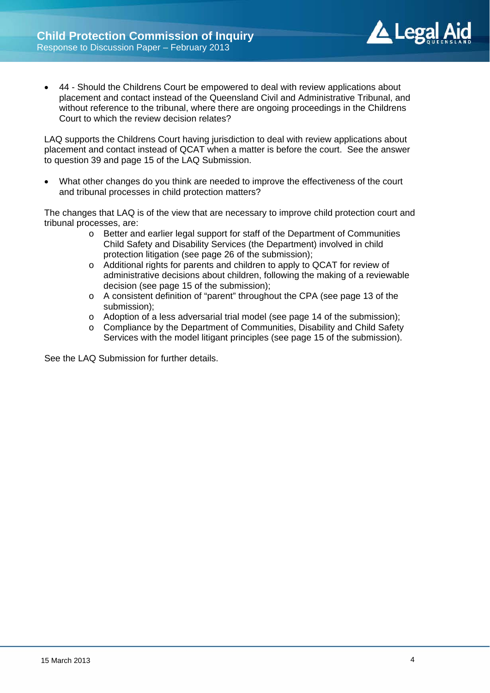

 44 - Should the Childrens Court be empowered to deal with review applications about placement and contact instead of the Queensland Civil and Administrative Tribunal, and without reference to the tribunal, where there are ongoing proceedings in the Childrens Court to which the review decision relates?

LAQ supports the Childrens Court having jurisdiction to deal with review applications about placement and contact instead of QCAT when a matter is before the court. See the answer to question 39 and page 15 of the LAQ Submission.

 What other changes do you think are needed to improve the effectiveness of the court and tribunal processes in child protection matters?

The changes that LAQ is of the view that are necessary to improve child protection court and tribunal processes, are:

- o Better and earlier legal support for staff of the Department of Communities Child Safety and Disability Services (the Department) involved in child protection litigation (see page 26 of the submission);
- o Additional rights for parents and children to apply to QCAT for review of administrative decisions about children, following the making of a reviewable decision (see page 15 of the submission);
- o A consistent definition of "parent" throughout the CPA (see page 13 of the submission);
- o Adoption of a less adversarial trial model (see page 14 of the submission);
- o Compliance by the Department of Communities, Disability and Child Safety Services with the model litigant principles (see page 15 of the submission).

See the LAQ Submission for further details.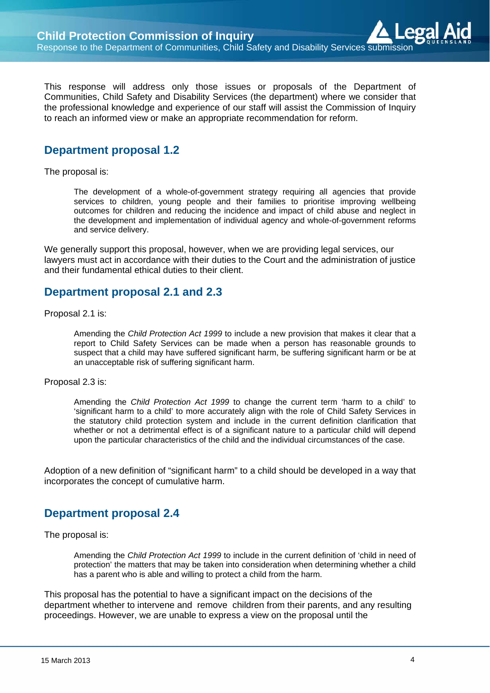This response will address only those issues or proposals of the Department of Communities, Child Safety and Disability Services (the department) where we consider that the professional knowledge and experience of our staff will assist the Commission of Inquiry to reach an informed view or make an appropriate recommendation for reform.

#### **Department proposal 1.2**

The proposal is:

The development of a whole-of-government strategy requiring all agencies that provide services to children, young people and their families to prioritise improving wellbeing outcomes for children and reducing the incidence and impact of child abuse and neglect in the development and implementation of individual agency and whole-of-government reforms and service delivery.

We generally support this proposal, however, when we are providing legal services, our lawyers must act in accordance with their duties to the Court and the administration of justice and their fundamental ethical duties to their client.

#### **Department proposal 2.1 and 2.3**

Proposal 2.1 is:

Amending the *Child Protection Act 1999* to include a new provision that makes it clear that a report to Child Safety Services can be made when a person has reasonable grounds to suspect that a child may have suffered significant harm, be suffering significant harm or be at an unacceptable risk of suffering significant harm.

#### Proposal 2.3 is:

Amending the *Child Protection Act 1999* to change the current term 'harm to a child' to 'significant harm to a child' to more accurately align with the role of Child Safety Services in the statutory child protection system and include in the current definition clarification that whether or not a detrimental effect is of a significant nature to a particular child will depend upon the particular characteristics of the child and the individual circumstances of the case.

Adoption of a new definition of "significant harm" to a child should be developed in a way that incorporates the concept of cumulative harm.

#### **Department proposal 2.4**

The proposal is:

Amending the *Child Protection Act 1999* to include in the current definition of 'child in need of protection' the matters that may be taken into consideration when determining whether a child has a parent who is able and willing to protect a child from the harm.

This proposal has the potential to have a significant impact on the decisions of the department whether to intervene and remove children from their parents, and any resulting proceedings. However, we are unable to express a view on the proposal until the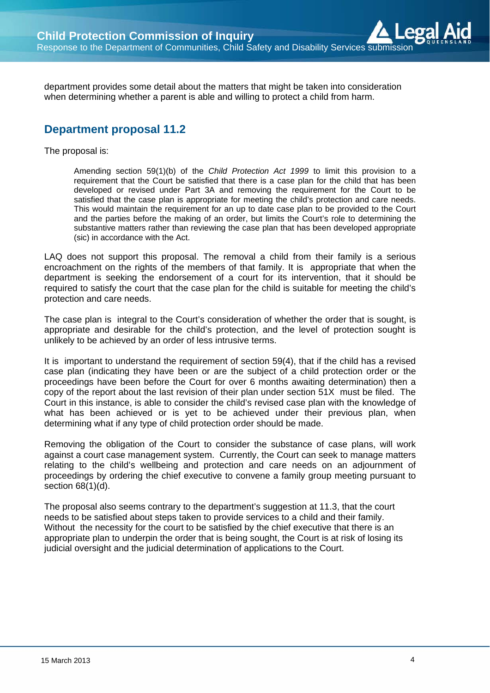department provides some detail about the matters that might be taken into consideration when determining whether a parent is able and willing to protect a child from harm.

## **Department proposal 11.2**

The proposal is:

Amending section 59(1)(b) of the *Child Protection Act 1999* to limit this provision to a requirement that the Court be satisfied that there is a case plan for the child that has been developed or revised under Part 3A and removing the requirement for the Court to be satisfied that the case plan is appropriate for meeting the child's protection and care needs. This would maintain the requirement for an up to date case plan to be provided to the Court and the parties before the making of an order, but limits the Court's role to determining the substantive matters rather than reviewing the case plan that has been developed appropriate (sic) in accordance with the Act.

LAQ does not support this proposal. The removal a child from their family is a serious encroachment on the rights of the members of that family. It is appropriate that when the department is seeking the endorsement of a court for its intervention, that it should be required to satisfy the court that the case plan for the child is suitable for meeting the child's protection and care needs.

The case plan is integral to the Court's consideration of whether the order that is sought, is appropriate and desirable for the child's protection, and the level of protection sought is unlikely to be achieved by an order of less intrusive terms.

It is important to understand the requirement of section 59(4), that if the child has a revised case plan (indicating they have been or are the subject of a child protection order or the proceedings have been before the Court for over 6 months awaiting determination) then a copy of the report about the last revision of their plan under section 51X must be filed. The Court in this instance, is able to consider the child's revised case plan with the knowledge of what has been achieved or is yet to be achieved under their previous plan, when determining what if any type of child protection order should be made.

Removing the obligation of the Court to consider the substance of case plans, will work against a court case management system. Currently, the Court can seek to manage matters relating to the child's wellbeing and protection and care needs on an adjournment of proceedings by ordering the chief executive to convene a family group meeting pursuant to section 68(1)(d).

The proposal also seems contrary to the department's suggestion at 11.3, that the court needs to be satisfied about steps taken to provide services to a child and their family. Without the necessity for the court to be satisfied by the chief executive that there is an appropriate plan to underpin the order that is being sought, the Court is at risk of losing its judicial oversight and the judicial determination of applications to the Court.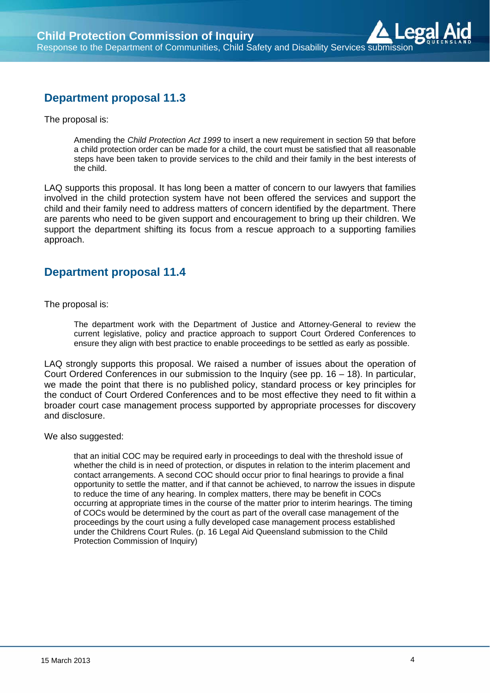# **Department proposal 11.3**

The proposal is:

Amending the *Child Protection Act 1999* to insert a new requirement in section 59 that before a child protection order can be made for a child, the court must be satisfied that all reasonable steps have been taken to provide services to the child and their family in the best interests of the child.

LAQ supports this proposal. It has long been a matter of concern to our lawyers that families involved in the child protection system have not been offered the services and support the child and their family need to address matters of concern identified by the department. There are parents who need to be given support and encouragement to bring up their children. We support the department shifting its focus from a rescue approach to a supporting families approach.

## **Department proposal 11.4**

The proposal is:

The department work with the Department of Justice and Attorney-General to review the current legislative, policy and practice approach to support Court Ordered Conferences to ensure they align with best practice to enable proceedings to be settled as early as possible.

LAQ strongly supports this proposal. We raised a number of issues about the operation of Court Ordered Conferences in our submission to the Inquiry (see pp. 16 – 18). In particular, we made the point that there is no published policy, standard process or key principles for the conduct of Court Ordered Conferences and to be most effective they need to fit within a broader court case management process supported by appropriate processes for discovery and disclosure.

We also suggested:

that an initial COC may be required early in proceedings to deal with the threshold issue of whether the child is in need of protection, or disputes in relation to the interim placement and contact arrangements. A second COC should occur prior to final hearings to provide a final opportunity to settle the matter, and if that cannot be achieved, to narrow the issues in dispute to reduce the time of any hearing. In complex matters, there may be benefit in COCs occurring at appropriate times in the course of the matter prior to interim hearings. The timing of COCs would be determined by the court as part of the overall case management of the proceedings by the court using a fully developed case management process established under the Childrens Court Rules. (p. 16 Legal Aid Queensland submission to the Child Protection Commission of Inquiry)